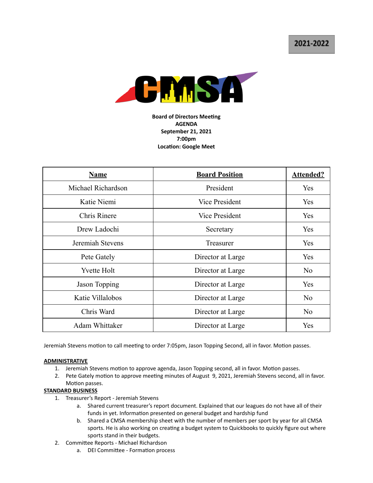2021-2022



**Board of Directors Meeting AGENDA September 21, 2021 7:00pm Location: Google Meet** 

| <b>Name</b>         | <b>Board Position</b> | <b>Attended?</b> |
|---------------------|-----------------------|------------------|
| Michael Richardson  | President             | Yes              |
| Katie Niemi         | Vice President        | Yes              |
| <b>Chris Rinere</b> | Vice President        | Yes              |
| Drew Ladochi        | Secretary             | Yes              |
| Jeremiah Stevens    | Treasurer             | Yes              |
| Pete Gately         | Director at Large     | Yes              |
| <b>Yvette Holt</b>  | Director at Large     | N <sub>o</sub>   |
| Jason Topping       | Director at Large     | Yes              |
| Katie Villalobos    | Director at Large     | No               |
| Chris Ward          | Director at Large     | N <sub>o</sub>   |
| Adam Whittaker      | Director at Large     | Yes              |

Jeremiah Stevens motion to call meeting to order 7:05pm, Jason Topping Second, all in favor. Motion passes.

## **ADMINISTRATIVE**

- 1. Jeremiah Stevens motion to approve agenda, Jason Topping second, all in favor. Motion passes.
- 2. Pete Gately motion to approve meeting minutes of August 9, 2021, Jeremiah Stevens second, all in favor. Motion passes.

# **STANDARD BUSINESS**

- 1. Treasurer's Report Jeremiah Stevens
	- a. Shared current treasurer's report document. Explained that our leagues do not have all of their funds in yet. Information presented on general budget and hardship fund
	- b. Shared a CMSA membership sheet with the number of members per sport by year for all CMSA sports. He is also working on creating a budget system to Quickbooks to quickly figure out where sports stand in their budgets.
- 2. Committee Reports Michael Richardson
	- a. DEI Committee Formation process